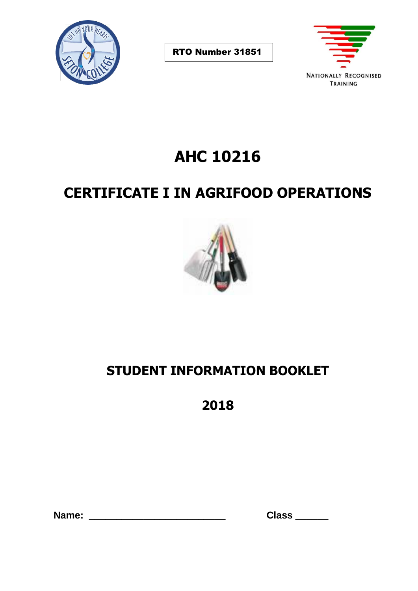

RTO Number 31851



# **AHC 10216**

## **CERTIFICATE I IN AGRIFOOD OPERATIONS**



## **STUDENT INFORMATION BOOKLET**

**2018**

 **Name: \_\_\_\_\_\_\_\_\_\_\_\_\_\_\_\_\_\_\_\_\_\_\_\_\_ Class \_\_\_\_\_\_**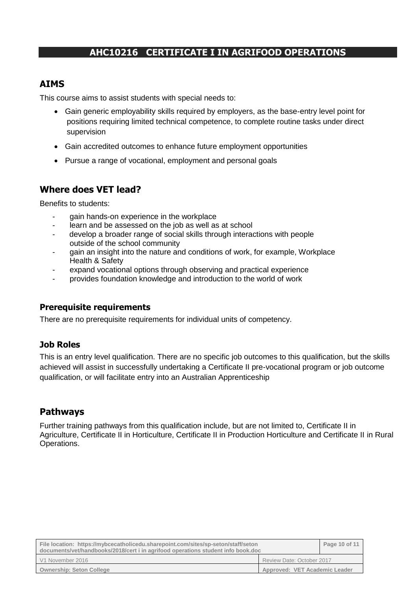### **AHC10216 CERTIFICATE I IN AGRIFOOD OPERATIONS**

### **AIMS**

This course aims to assist students with special needs to:

- Gain generic employability skills required by employers, as the base-entry level point for positions requiring limited technical competence, to complete routine tasks under direct supervision
- Gain accredited outcomes to enhance future employment opportunities
- Pursue a range of vocational, employment and personal goals

#### **Where does VET lead?**

Benefits to students:

- gain hands-on experience in the workplace
- learn and be assessed on the job as well as at school
- develop a broader range of social skills through interactions with people outside of the school community
- gain an insight into the nature and conditions of work, for example, Workplace Health & Safety
- expand vocational options through observing and practical experience
- provides foundation knowledge and introduction to the world of work

#### **Prerequisite requirements**

There are no prerequisite requirements for individual units of competency.

#### **Job Roles**

This is an entry level qualification. There are no specific job outcomes to this qualification, but the skills achieved will assist in successfully undertaking a Certificate II pre-vocational program or job outcome qualification, or will facilitate entry into an Australian Apprenticeship

#### **Pathways**

Further training pathways from this qualification include, but are not limited to, Certificate II in Agriculture, Certificate II in Horticulture, Certificate II in Production Horticulture and Certificate II in Rural Operations.

| File location: https://mybcecatholicedu.sharepoint.com/sites/sp-seton/staff/seton<br>documents/vet/handbooks/2018/cert i in agrifood operations student info book.doc |                               | Page 10 of 11 |
|-----------------------------------------------------------------------------------------------------------------------------------------------------------------------|-------------------------------|---------------|
| V1 November 2016                                                                                                                                                      | Review Date: October 2017     |               |
| <b>Ownership: Seton College</b>                                                                                                                                       | Approved: VET Academic Leader |               |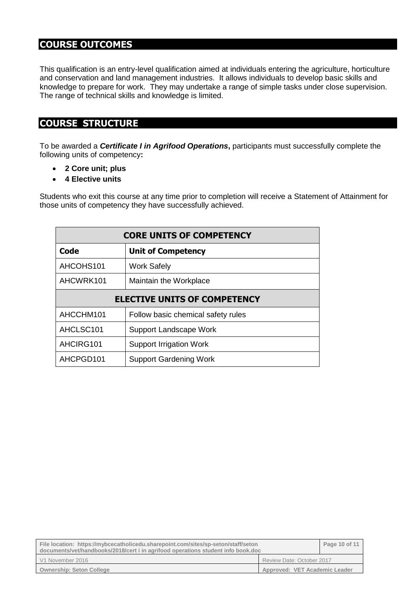## **COURSE OUTCOMES**

This qualification is an entry-level qualification aimed at individuals entering the agriculture, horticulture and conservation and land management industries. It allows individuals to develop basic skills and knowledge to prepare for work. They may undertake a range of simple tasks under close supervision. The range of technical skills and knowledge is limited.

## **COURSE STRUCTURE**

To be awarded a *Certificate I in Agrifood Operations***,** participants must successfully complete the following units of competency**:**

- **2 Core unit; plus**
- **4 Elective units**

Students who exit this course at any time prior to completion will receive a Statement of Attainment for those units of competency they have successfully achieved.

| <b>CORE UNITS OF COMPETENCY</b>     |                                    |  |
|-------------------------------------|------------------------------------|--|
| Code                                | <b>Unit of Competency</b>          |  |
| AHCOHS101                           | <b>Work Safely</b>                 |  |
| AHCWRK101                           | Maintain the Workplace             |  |
| <b>ELECTIVE UNITS OF COMPETENCY</b> |                                    |  |
| AHCCHM101                           | Follow basic chemical safety rules |  |
| AHCLSC <sub>101</sub>               | <b>Support Landscape Work</b>      |  |
| AHCIRG101                           | <b>Support Irrigation Work</b>     |  |
| AHCPGD101                           | <b>Support Gardening Work</b>      |  |

| File location: https://mybcecatholicedu.sharepoint.com/sites/sp-seton/staff/seton<br>documents/vet/handbooks/2018/cert i in agrifood operations student info book.doc |                               | Page 10 of 11 |
|-----------------------------------------------------------------------------------------------------------------------------------------------------------------------|-------------------------------|---------------|
| V1 November 2016                                                                                                                                                      | Review Date: October 2017     |               |
| <b>Ownership: Seton College</b>                                                                                                                                       | Approved: VET Academic Leader |               |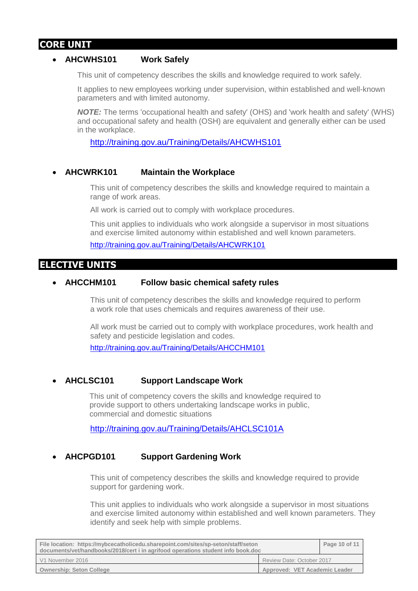## **CORE UNIT**

#### • **AHCWHS101 Work Safely**

This unit of competency describes the skills and knowledge required to work safely.

It applies to new employees working under supervision, within established and well-known parameters and with limited autonomy.

*NOTE:* The terms 'occupational health and safety' (OHS) and 'work health and safety' (WHS) and occupational safety and health (OSH) are equivalent and generally either can be used in the workplace.

<http://training.gov.au/Training/Details/AHCWHS101>

#### • **AHCWRK101 Maintain the Workplace**

This unit of competency describes the skills and knowledge required to maintain a range of work areas.

All work is carried out to comply with workplace procedures.

This unit applies to individuals who work alongside a supervisor in most situations and exercise limited autonomy within established and well known parameters.

<http://training.gov.au/Training/Details/AHCWRK101>

#### **ELECTIVE UNITS**

#### • **AHCCHM101 Follow basic chemical safety rules**

This unit of competency describes the skills and knowledge required to perform a work role that uses chemicals and requires awareness of their use.

All work must be carried out to comply with workplace procedures, work health and safety and pesticide legislation and codes.

<http://training.gov.au/Training/Details/AHCCHM101>

#### • **AHCLSC101 Support Landscape Work**

This unit of competency covers the skills and knowledge required to provide support to others undertaking landscape works in public, commercial and domestic situations

<http://training.gov.au/Training/Details/AHCLSC101A>

#### • **AHCPGD101 Support Gardening Work**

This unit of competency describes the skills and knowledge required to provide support for gardening work.

This unit applies to individuals who work alongside a supervisor in most situations and exercise limited autonomy within established and well known parameters. They identify and seek help with simple problems.

| File location: https://mybcecatholicedu.sharepoint.com/sites/sp-seton/staff/seton<br>documents/vet/handbooks/2018/cert i in agrifood operations student info book.doc |                               | Page 10 of 11 |
|-----------------------------------------------------------------------------------------------------------------------------------------------------------------------|-------------------------------|---------------|
| V1 November 2016                                                                                                                                                      | Review Date: October 2017     |               |
| <b>Ownership: Seton College</b>                                                                                                                                       | Approved: VET Academic Leader |               |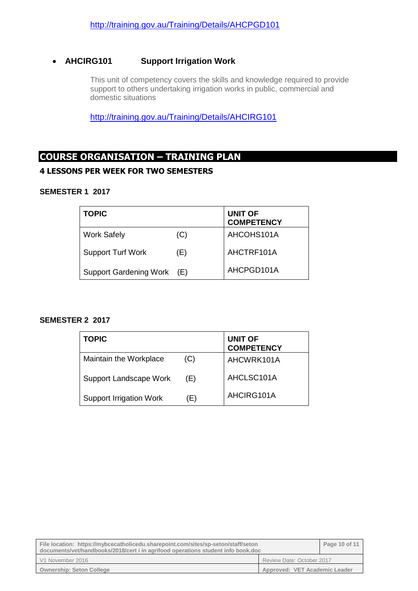#### • **AHCIRG101 Support Irrigation Work**

This unit of competency covers the skills and knowledge required to provide support to others undertaking irrigation works in public, commercial and domestic situations

<http://training.gov.au/Training/Details/AHCIRG101>

## **COURSE ORGANISATION – TRAINING PLAN**

#### **4 LESSONS PER WEEK FOR TWO SEMESTERS**

#### **SEMESTER 1 2017**

| <b>TOPIC</b>               |     | <b>UNIT OF</b><br><b>COMPETENCY</b> |
|----------------------------|-----|-------------------------------------|
| <b>Work Safely</b>         | (C) | AHCOHS101A                          |
| <b>Support Turf Work</b>   | (E) | AHCTRF101A                          |
| Support Gardening Work (E) |     | AHCPGD101A                          |

#### **SEMESTER 2 2017**

| <b>TOPIC</b>                   |     | <b>UNIT OF</b><br><b>COMPETENCY</b> |
|--------------------------------|-----|-------------------------------------|
| Maintain the Workplace         | (C) | AHCWRK101A                          |
| <b>Support Landscape Work</b>  | (E) | AHCLSC101A                          |
| <b>Support Irrigation Work</b> | (E) | AHCIRG101A                          |

| File location: https://mybcecatholicedu.sharepoint.com/sites/sp-seton/staff/seton<br>documents/vet/handbooks/2018/cert i in agrifood operations student info book.doc |                               | Page 10 of 11 |
|-----------------------------------------------------------------------------------------------------------------------------------------------------------------------|-------------------------------|---------------|
| V1 November 2016                                                                                                                                                      | Review Date: October 2017     |               |
| <b>Ownership: Seton College</b>                                                                                                                                       | Approved: VET Academic Leader |               |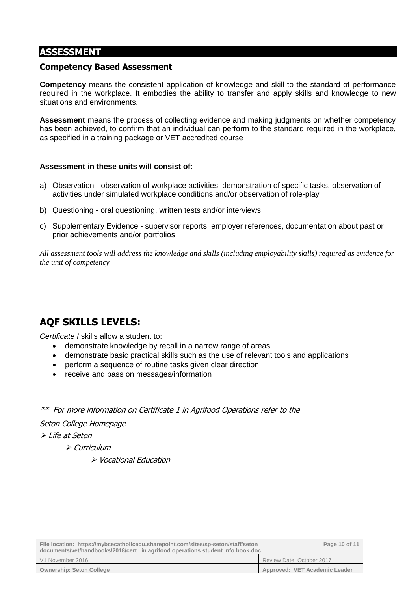## **ASSESSMENT**

#### **Competency Based Assessment**

**Competency** means the consistent application of knowledge and skill to the standard of performance required in the workplace. It embodies the ability to transfer and apply skills and knowledge to new situations and environments.

**Assessment** means the process of collecting evidence and making judgments on whether competency has been achieved, to confirm that an individual can perform to the standard required in the workplace, as specified in a training package or VET accredited course

#### **Assessment in these units will consist of:**

- a) Observation observation of workplace activities, demonstration of specific tasks, observation of activities under simulated workplace conditions and/or observation of role-play
- b) Questioning oral questioning, written tests and/or interviews
- c) Supplementary Evidence supervisor reports, employer references, documentation about past or prior achievements and/or portfolios

*All assessment tools will address the knowledge and skills (including employability skills) required as evidence for the unit of competency*

## **AQF SKILLS LEVELS:**

*Certificate I* skills allow a student to:

- demonstrate knowledge by recall in a narrow range of areas
- demonstrate basic practical skills such as the use of relevant tools and applications
- perform a sequence of routine tasks given clear direction
- receive and pass on messages/information
- \*\* For more information on Certificate 1 in Agrifood Operations refer to the

Seton College Homepage

➢ Life at Seton

- ➢ Curriculum
	- ➢ Vocational Education

| File location: https://mybcecatholicedu.sharepoint.com/sites/sp-seton/staff/seton<br>documents/vet/handbooks/2018/cert i in agrifood operations student info book.doc |                               | Page 10 of 11 |
|-----------------------------------------------------------------------------------------------------------------------------------------------------------------------|-------------------------------|---------------|
| V1 November 2016                                                                                                                                                      | Review Date: October 2017     |               |
| <b>Ownership: Seton College</b>                                                                                                                                       | Approved: VET Academic Leader |               |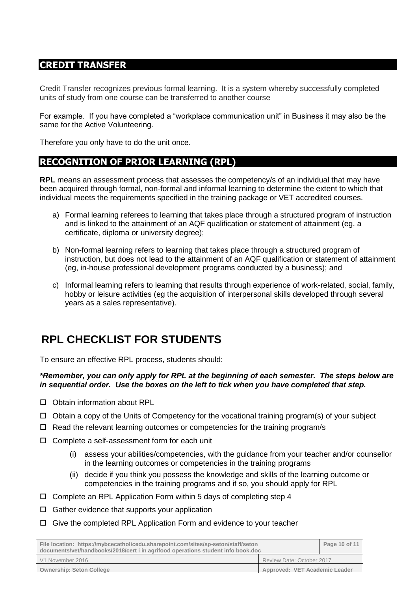### **CREDIT TRANSFER**

Credit Transfer recognizes previous formal learning. It is a system whereby successfully completed units of study from one course can be transferred to another course

For example. If you have completed a "workplace communication unit" in Business it may also be the same for the Active Volunteering.

Therefore you only have to do the unit once.

## **RECOGNITION OF PRIOR LEARNING (RPL)**

**RPL** means an assessment process that assesses the competency/s of an individual that may have been acquired through formal, non-formal and informal learning to determine the extent to which that individual meets the requirements specified in the training package or VET accredited courses.

- a) Formal learning referees to learning that takes place through a structured program of instruction and is linked to the attainment of an AQF qualification or statement of attainment (eg, a certificate, diploma or university degree);
- b) Non-formal learning refers to learning that takes place through a structured program of instruction, but does not lead to the attainment of an AQF qualification or statement of attainment (eg, in-house professional development programs conducted by a business); and
- c) Informal learning refers to learning that results through experience of work-related, social, family, hobby or leisure activities (eg the acquisition of interpersonal skills developed through several years as a sales representative).

## **RPL CHECKLIST FOR STUDENTS**

To ensure an effective RPL process, students should:

#### *\*Remember, you can only apply for RPL at the beginning of each semester. The steps below are in sequential order. Use the boxes on the left to tick when you have completed that step.*

- □ Obtain information about RPL
- $\Box$  Obtain a copy of the Units of Competency for the vocational training program(s) of your subject
- $\Box$  Read the relevant learning outcomes or competencies for the training program/s
- □ Complete a self-assessment form for each unit
	- (i) assess your abilities/competencies, with the guidance from your teacher and/or counsellor in the learning outcomes or competencies in the training programs
	- (ii) decide if you think you possess the knowledge and skills of the learning outcome or competencies in the training programs and if so, you should apply for RPL
- $\Box$  Complete an RPL Application Form within 5 days of completing step 4
- $\Box$  Gather evidence that supports your application
- $\Box$  Give the completed RPL Application Form and evidence to your teacher

| File location: https://mybcecatholicedu.sharepoint.com/sites/sp-seton/staff/seton<br>documents/vet/handbooks/2018/cert i in agrifood operations student info book.doc |                               | Page 10 of 11 |
|-----------------------------------------------------------------------------------------------------------------------------------------------------------------------|-------------------------------|---------------|
| V1 November 2016                                                                                                                                                      | Review Date: October 2017     |               |
| <b>Ownership: Seton College</b>                                                                                                                                       | Approved: VET Academic Leader |               |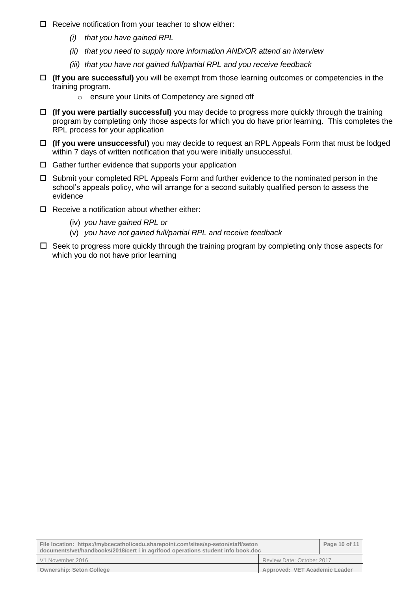- $\Box$  Receive notification from your teacher to show either:
	- *(i) that you have gained RPL*
	- *(ii) that you need to supply more information AND/OR attend an interview*
	- *(iii) that you have not gained full/partial RPL and you receive feedback*
- **(If you are successful)** you will be exempt from those learning outcomes or competencies in the training program.
	- o ensure your Units of Competency are signed off
- **(If you were partially successful)** you may decide to progress more quickly through the training program by completing only those aspects for which you do have prior learning. This completes the RPL process for your application
- **(If you were unsuccessful)** you may decide to request an RPL Appeals Form that must be lodged within 7 days of written notification that you were initially unsuccessful.
- $\Box$  Gather further evidence that supports your application
- $\Box$  Submit your completed RPL Appeals Form and further evidence to the nominated person in the school's appeals policy, who will arrange for a second suitably qualified person to assess the evidence
- $\Box$  Receive a notification about whether either:
	- (iv) *you have gained RPL or*
	- (v) *you have not gained full/partial RPL and receive feedback*
- $\Box$  Seek to progress more quickly through the training program by completing only those aspects for which you do not have prior learning

| File location: https://mybcecatholicedu.sharepoint.com/sites/sp-seton/staff/seton<br>documents/vet/handbooks/2018/cert i in agrifood operations student info book.doc |                               | Page 10 of 11 |
|-----------------------------------------------------------------------------------------------------------------------------------------------------------------------|-------------------------------|---------------|
| V1 November 2016                                                                                                                                                      | Review Date: October 2017     |               |
| <b>Ownership: Seton College</b>                                                                                                                                       | Approved: VET Academic Leader |               |